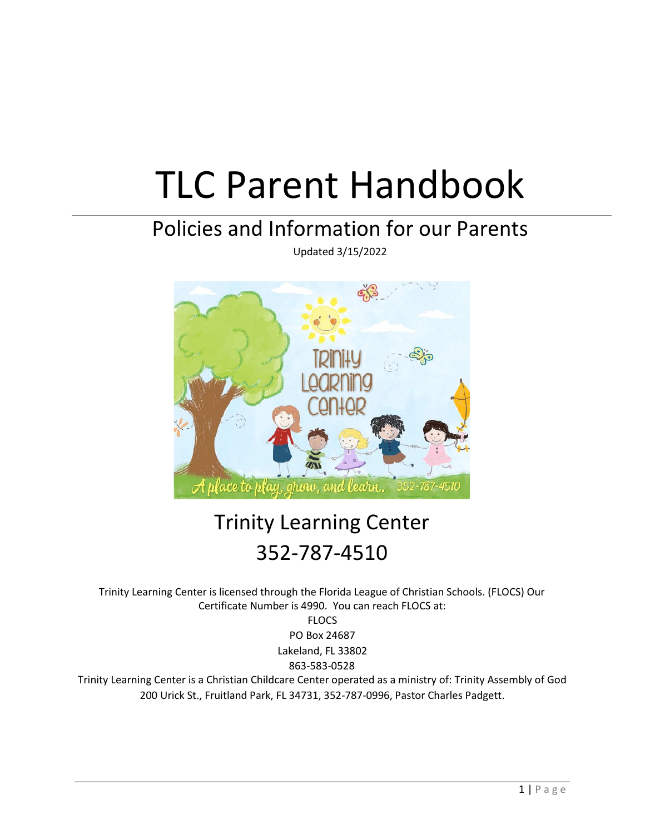# TLC Parent Handbook

# Policies and Information for our Parents

Updated 3/15/2022



# Trinity Learning Center 352-787-4510

Trinity Learning Center is licensed through the Florida League of Christian Schools. (FLOCS) Our Certificate Number is 4990. You can reach FLOCS at:

FLOCS PO Box 24687 Lakeland, FL 33802 863-583-0528

Trinity Learning Center is a Christian Childcare Center operated as a ministry of: Trinity Assembly of God 200 Urick St., Fruitland Park, FL 34731, 352-787-0996, Pastor Charles Padgett.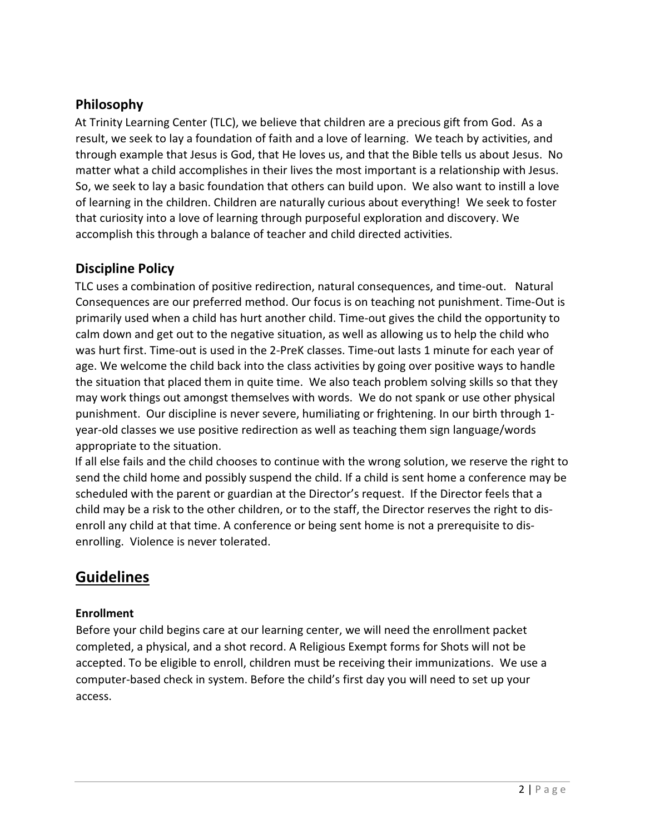# Philosophy

At Trinity Learning Center (TLC), we believe that children are a precious gift from God. As a result, we seek to lay a foundation of faith and a love of learning. We teach by activities, and through example that Jesus is God, that He loves us, and that the Bible tells us about Jesus. No matter what a child accomplishes in their lives the most important is a relationship with Jesus. So, we seek to lay a basic foundation that others can build upon. We also want to instill a love of learning in the children. Children are naturally curious about everything! We seek to foster that curiosity into a love of learning through purposeful exploration and discovery. We accomplish this through a balance of teacher and child directed activities.

# Discipline Policy

TLC uses a combination of positive redirection, natural consequences, and time-out. Natural Consequences are our preferred method. Our focus is on teaching not punishment. Time-Out is primarily used when a child has hurt another child. Time-out gives the child the opportunity to calm down and get out to the negative situation, as well as allowing us to help the child who was hurt first. Time-out is used in the 2-PreK classes. Time-out lasts 1 minute for each year of age. We welcome the child back into the class activities by going over positive ways to handle the situation that placed them in quite time. We also teach problem solving skills so that they may work things out amongst themselves with words. We do not spank or use other physical punishment. Our discipline is never severe, humiliating or frightening. In our birth through 1 year-old classes we use positive redirection as well as teaching them sign language/words appropriate to the situation.

If all else fails and the child chooses to continue with the wrong solution, we reserve the right to send the child home and possibly suspend the child. If a child is sent home a conference may be scheduled with the parent or guardian at the Director's request. If the Director feels that a child may be a risk to the other children, or to the staff, the Director reserves the right to disenroll any child at that time. A conference or being sent home is not a prerequisite to disenrolling. Violence is never tolerated.

# Guidelines

# Enrollment

Before your child begins care at our learning center, we will need the enrollment packet completed, a physical, and a shot record. A Religious Exempt forms for Shots will not be accepted. To be eligible to enroll, children must be receiving their immunizations. We use a computer-based check in system. Before the child's first day you will need to set up your access.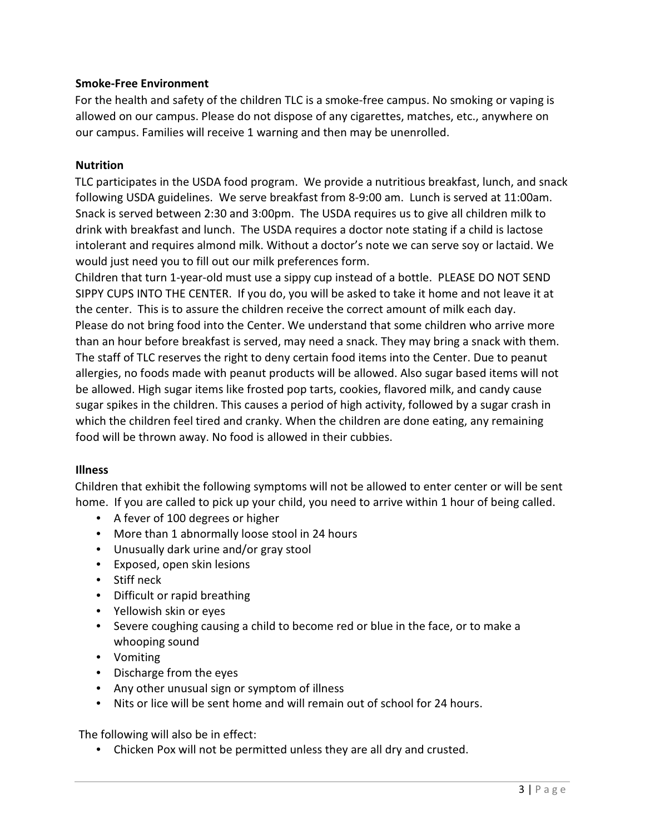#### Smoke-Free Environment

For the health and safety of the children TLC is a smoke-free campus. No smoking or vaping is allowed on our campus. Please do not dispose of any cigarettes, matches, etc., anywhere on our campus. Families will receive 1 warning and then may be unenrolled.

#### **Nutrition**

TLC participates in the USDA food program. We provide a nutritious breakfast, lunch, and snack following USDA guidelines. We serve breakfast from 8-9:00 am. Lunch is served at 11:00am. Snack is served between 2:30 and 3:00pm. The USDA requires us to give all children milk to drink with breakfast and lunch. The USDA requires a doctor note stating if a child is lactose intolerant and requires almond milk. Without a doctor's note we can serve soy or lactaid. We would just need you to fill out our milk preferences form.

Children that turn 1-year-old must use a sippy cup instead of a bottle. PLEASE DO NOT SEND SIPPY CUPS INTO THE CENTER. If you do, you will be asked to take it home and not leave it at the center. This is to assure the children receive the correct amount of milk each day. Please do not bring food into the Center. We understand that some children who arrive more than an hour before breakfast is served, may need a snack. They may bring a snack with them. The staff of TLC reserves the right to deny certain food items into the Center. Due to peanut allergies, no foods made with peanut products will be allowed. Also sugar based items will not be allowed. High sugar items like frosted pop tarts, cookies, flavored milk, and candy cause sugar spikes in the children. This causes a period of high activity, followed by a sugar crash in which the children feel tired and cranky. When the children are done eating, any remaining food will be thrown away. No food is allowed in their cubbies.

#### **Illness**

Children that exhibit the following symptoms will not be allowed to enter center or will be sent home. If you are called to pick up your child, you need to arrive within 1 hour of being called.

- A fever of 100 degrees or higher
- More than 1 abnormally loose stool in 24 hours
- Unusually dark urine and/or gray stool
- Exposed, open skin lesions
- Stiff neck
- Difficult or rapid breathing
- Yellowish skin or eyes
- Severe coughing causing a child to become red or blue in the face, or to make a whooping sound
- Vomiting
- Discharge from the eyes
- Any other unusual sign or symptom of illness
- Nits or lice will be sent home and will remain out of school for 24 hours.

The following will also be in effect:

• Chicken Pox will not be permitted unless they are all dry and crusted.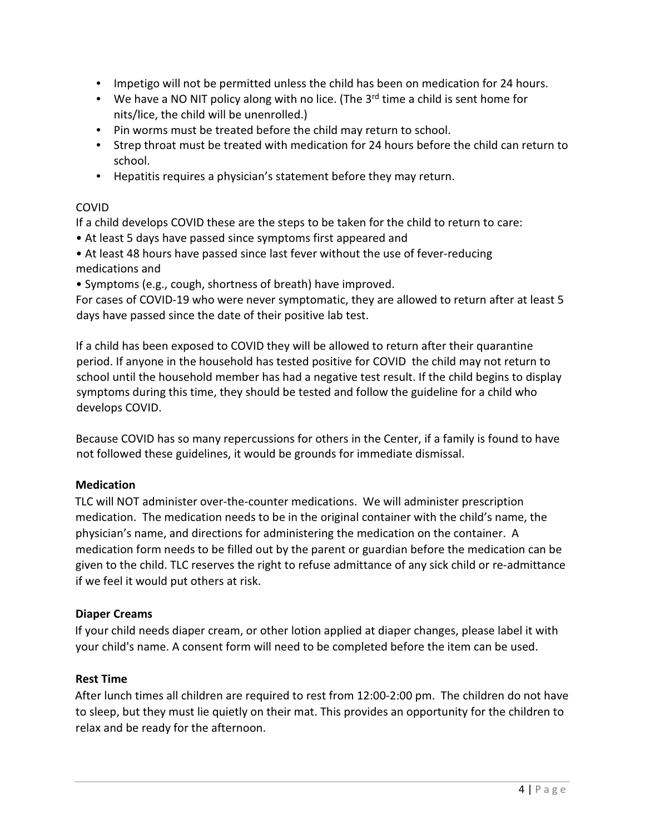- Impetigo will not be permitted unless the child has been on medication for 24 hours.
- We have a NO NIT policy along with no lice. (The  $3<sup>rd</sup>$  time a child is sent home for nits/lice, the child will be unenrolled.)
- Pin worms must be treated before the child may return to school.
- Strep throat must be treated with medication for 24 hours before the child can return to school.
- Hepatitis requires a physician's statement before they may return.

# COVID

If a child develops COVID these are the steps to be taken for the child to return to care:

- At least 5 days have passed since symptoms first appeared and
- At least 48 hours have passed since last fever without the use of fever-reducing medications and
- Symptoms (e.g., cough, shortness of breath) have improved.

For cases of COVID-19 who were never symptomatic, they are allowed to return after at least 5 days have passed since the date of their positive lab test.

If a child has been exposed to COVID they will be allowed to return after their quarantine period. If anyone in the household has tested positive for COVID the child may not return to school until the household member has had a negative test result. If the child begins to display symptoms during this time, they should be tested and follow the guideline for a child who develops COVID.

Because COVID has so many repercussions for others in the Center, if a family is found to have not followed these guidelines, it would be grounds for immediate dismissal.

# **Medication**

TLC will NOT administer over-the-counter medications. We will administer prescription medication. The medication needs to be in the original container with the child's name, the physician's name, and directions for administering the medication on the container. A medication form needs to be filled out by the parent or guardian before the medication can be given to the child. TLC reserves the right to refuse admittance of any sick child or re-admittance if we feel it would put others at risk.

# Diaper Creams

If your child needs diaper cream, or other lotion applied at diaper changes, please label it with your child's name. A consent form will need to be completed before the item can be used.

# Rest Time

After lunch times all children are required to rest from 12:00-2:00 pm. The children do not have to sleep, but they must lie quietly on their mat. This provides an opportunity for the children to relax and be ready for the afternoon.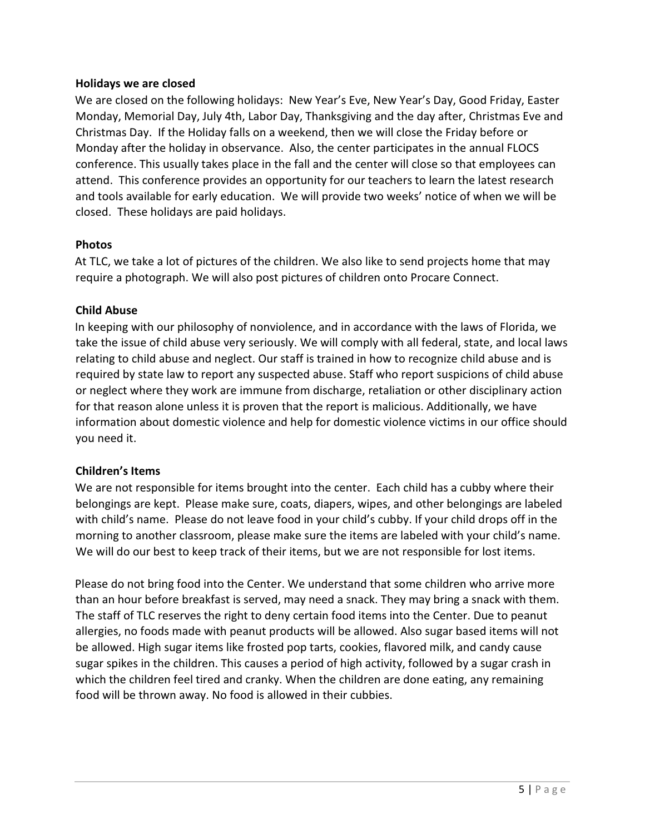#### Holidays we are closed

We are closed on the following holidays: New Year's Eve, New Year's Day, Good Friday, Easter Monday, Memorial Day, July 4th, Labor Day, Thanksgiving and the day after, Christmas Eve and Christmas Day. If the Holiday falls on a weekend, then we will close the Friday before or Monday after the holiday in observance. Also, the center participates in the annual FLOCS conference. This usually takes place in the fall and the center will close so that employees can attend. This conference provides an opportunity for our teachers to learn the latest research and tools available for early education. We will provide two weeks' notice of when we will be closed. These holidays are paid holidays.

#### Photos

At TLC, we take a lot of pictures of the children. We also like to send projects home that may require a photograph. We will also post pictures of children onto Procare Connect.

#### Child Abuse

In keeping with our philosophy of nonviolence, and in accordance with the laws of Florida, we take the issue of child abuse very seriously. We will comply with all federal, state, and local laws relating to child abuse and neglect. Our staff is trained in how to recognize child abuse and is required by state law to report any suspected abuse. Staff who report suspicions of child abuse or neglect where they work are immune from discharge, retaliation or other disciplinary action for that reason alone unless it is proven that the report is malicious. Additionally, we have information about domestic violence and help for domestic violence victims in our office should you need it.

#### Children's Items

We are not responsible for items brought into the center. Each child has a cubby where their belongings are kept. Please make sure, coats, diapers, wipes, and other belongings are labeled with child's name. Please do not leave food in your child's cubby. If your child drops off in the morning to another classroom, please make sure the items are labeled with your child's name. We will do our best to keep track of their items, but we are not responsible for lost items.

Please do not bring food into the Center. We understand that some children who arrive more than an hour before breakfast is served, may need a snack. They may bring a snack with them. The staff of TLC reserves the right to deny certain food items into the Center. Due to peanut allergies, no foods made with peanut products will be allowed. Also sugar based items will not be allowed. High sugar items like frosted pop tarts, cookies, flavored milk, and candy cause sugar spikes in the children. This causes a period of high activity, followed by a sugar crash in which the children feel tired and cranky. When the children are done eating, any remaining food will be thrown away. No food is allowed in their cubbies.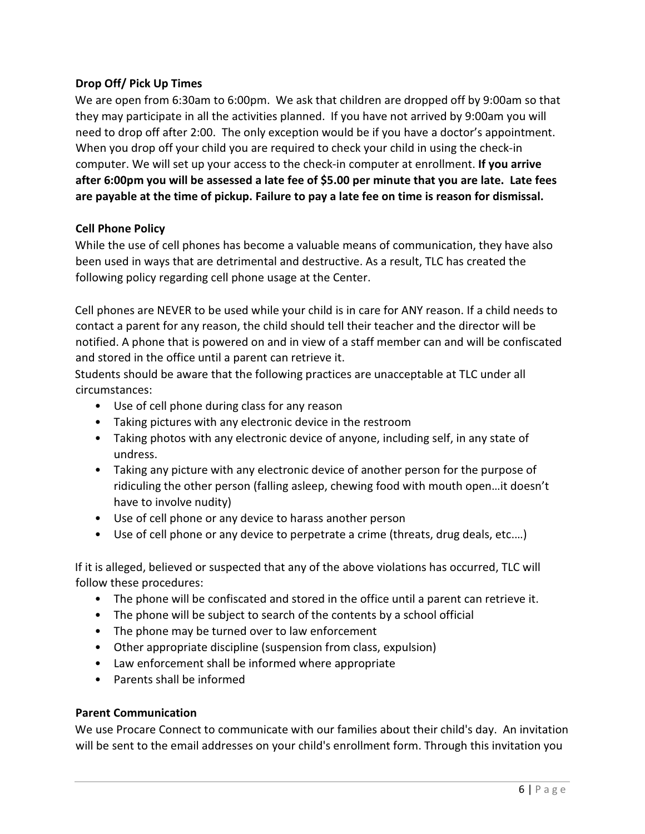#### Drop Off/ Pick Up Times

We are open from 6:30am to 6:00pm. We ask that children are dropped off by 9:00am so that they may participate in all the activities planned. If you have not arrived by 9:00am you will need to drop off after 2:00. The only exception would be if you have a doctor's appointment. When you drop off your child you are required to check your child in using the check-in computer. We will set up your access to the check-in computer at enrollment. If you arrive after 6:00pm you will be assessed a late fee of \$5.00 per minute that you are late. Late fees are payable at the time of pickup. Failure to pay a late fee on time is reason for dismissal.

#### Cell Phone Policy

While the use of cell phones has become a valuable means of communication, they have also been used in ways that are detrimental and destructive. As a result, TLC has created the following policy regarding cell phone usage at the Center.

Cell phones are NEVER to be used while your child is in care for ANY reason. If a child needs to contact a parent for any reason, the child should tell their teacher and the director will be notified. A phone that is powered on and in view of a staff member can and will be confiscated and stored in the office until a parent can retrieve it.

Students should be aware that the following practices are unacceptable at TLC under all circumstances:

- Use of cell phone during class for any reason
- Taking pictures with any electronic device in the restroom
- Taking photos with any electronic device of anyone, including self, in any state of undress.
- Taking any picture with any electronic device of another person for the purpose of ridiculing the other person (falling asleep, chewing food with mouth open…it doesn't have to involve nudity)
- Use of cell phone or any device to harass another person
- Use of cell phone or any device to perpetrate a crime (threats, drug deals, etc.…)

If it is alleged, believed or suspected that any of the above violations has occurred, TLC will follow these procedures:

- The phone will be confiscated and stored in the office until a parent can retrieve it.
- The phone will be subject to search of the contents by a school official
- The phone may be turned over to law enforcement
- Other appropriate discipline (suspension from class, expulsion)
- Law enforcement shall be informed where appropriate
- Parents shall be informed

#### Parent Communication

We use Procare Connect to communicate with our families about their child's day. An invitation will be sent to the email addresses on your child's enrollment form. Through this invitation you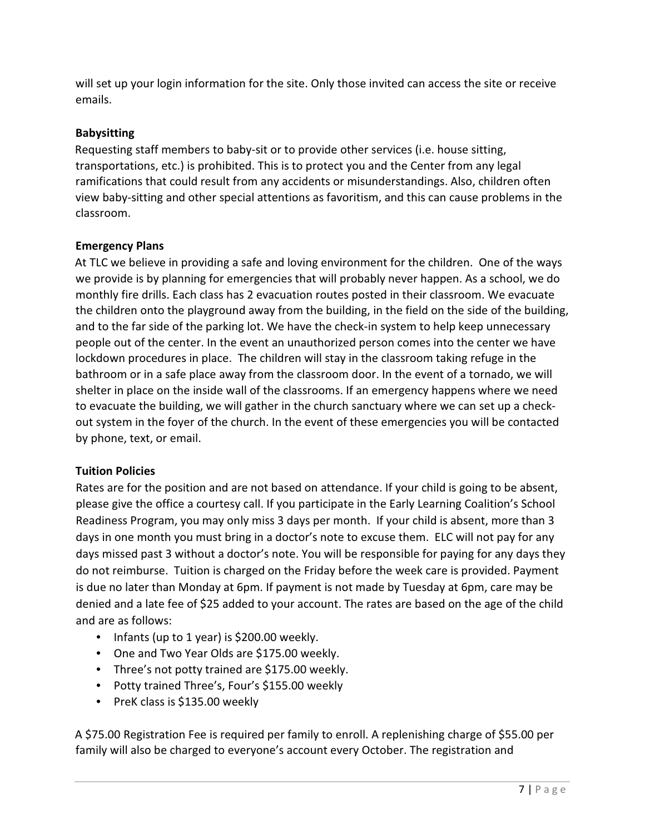will set up your login information for the site. Only those invited can access the site or receive emails.

# Babysitting

Requesting staff members to baby-sit or to provide other services (i.e. house sitting, transportations, etc.) is prohibited. This is to protect you and the Center from any legal ramifications that could result from any accidents or misunderstandings. Also, children often view baby-sitting and other special attentions as favoritism, and this can cause problems in the classroom.

# Emergency Plans

At TLC we believe in providing a safe and loving environment for the children. One of the ways we provide is by planning for emergencies that will probably never happen. As a school, we do monthly fire drills. Each class has 2 evacuation routes posted in their classroom. We evacuate the children onto the playground away from the building, in the field on the side of the building, and to the far side of the parking lot. We have the check-in system to help keep unnecessary people out of the center. In the event an unauthorized person comes into the center we have lockdown procedures in place. The children will stay in the classroom taking refuge in the bathroom or in a safe place away from the classroom door. In the event of a tornado, we will shelter in place on the inside wall of the classrooms. If an emergency happens where we need to evacuate the building, we will gather in the church sanctuary where we can set up a checkout system in the foyer of the church. In the event of these emergencies you will be contacted by phone, text, or email.

# Tuition Policies

Rates are for the position and are not based on attendance. If your child is going to be absent, please give the office a courtesy call. If you participate in the Early Learning Coalition's School Readiness Program, you may only miss 3 days per month. If your child is absent, more than 3 days in one month you must bring in a doctor's note to excuse them. ELC will not pay for any days missed past 3 without a doctor's note. You will be responsible for paying for any days they do not reimburse. Tuition is charged on the Friday before the week care is provided. Payment is due no later than Monday at 6pm. If payment is not made by Tuesday at 6pm, care may be denied and a late fee of \$25 added to your account. The rates are based on the age of the child and are as follows:

- Infants (up to 1 year) is \$200.00 weekly.
- One and Two Year Olds are \$175.00 weekly.
- Three's not potty trained are \$175.00 weekly.
- Potty trained Three's, Four's \$155.00 weekly
- PreK class is \$135.00 weekly

A \$75.00 Registration Fee is required per family to enroll. A replenishing charge of \$55.00 per family will also be charged to everyone's account every October. The registration and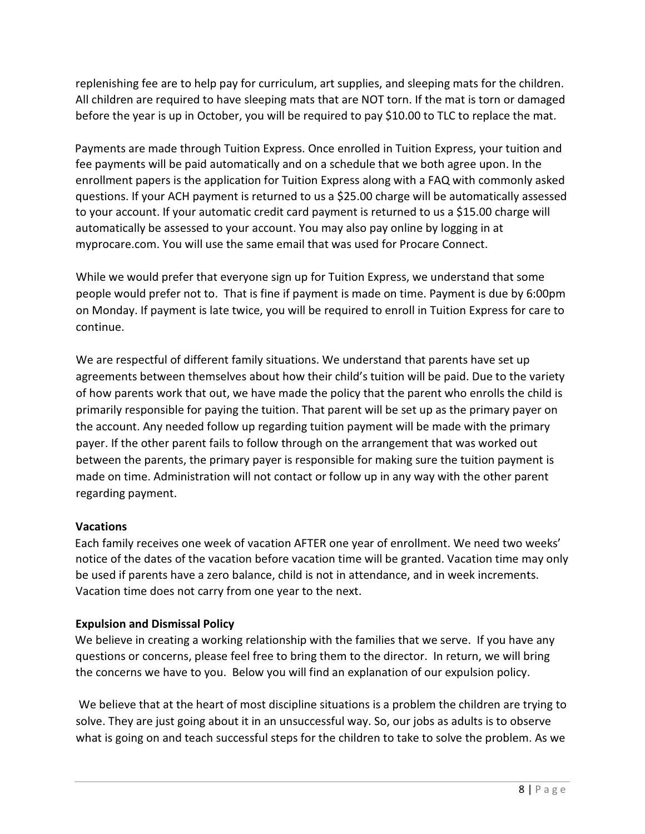replenishing fee are to help pay for curriculum, art supplies, and sleeping mats for the children. All children are required to have sleeping mats that are NOT torn. If the mat is torn or damaged before the year is up in October, you will be required to pay \$10.00 to TLC to replace the mat.

Payments are made through Tuition Express. Once enrolled in Tuition Express, your tuition and fee payments will be paid automatically and on a schedule that we both agree upon. In the enrollment papers is the application for Tuition Express along with a FAQ with commonly asked questions. If your ACH payment is returned to us a \$25.00 charge will be automatically assessed to your account. If your automatic credit card payment is returned to us a \$15.00 charge will automatically be assessed to your account. You may also pay online by logging in at myprocare.com. You will use the same email that was used for Procare Connect.

While we would prefer that everyone sign up for Tuition Express, we understand that some people would prefer not to. That is fine if payment is made on time. Payment is due by 6:00pm on Monday. If payment is late twice, you will be required to enroll in Tuition Express for care to continue.

We are respectful of different family situations. We understand that parents have set up agreements between themselves about how their child's tuition will be paid. Due to the variety of how parents work that out, we have made the policy that the parent who enrolls the child is primarily responsible for paying the tuition. That parent will be set up as the primary payer on the account. Any needed follow up regarding tuition payment will be made with the primary payer. If the other parent fails to follow through on the arrangement that was worked out between the parents, the primary payer is responsible for making sure the tuition payment is made on time. Administration will not contact or follow up in any way with the other parent regarding payment.

# Vacations

Each family receives one week of vacation AFTER one year of enrollment. We need two weeks' notice of the dates of the vacation before vacation time will be granted. Vacation time may only be used if parents have a zero balance, child is not in attendance, and in week increments. Vacation time does not carry from one year to the next.

#### Expulsion and Dismissal Policy

We believe in creating a working relationship with the families that we serve. If you have any questions or concerns, please feel free to bring them to the director. In return, we will bring the concerns we have to you. Below you will find an explanation of our expulsion policy.

 We believe that at the heart of most discipline situations is a problem the children are trying to solve. They are just going about it in an unsuccessful way. So, our jobs as adults is to observe what is going on and teach successful steps for the children to take to solve the problem. As we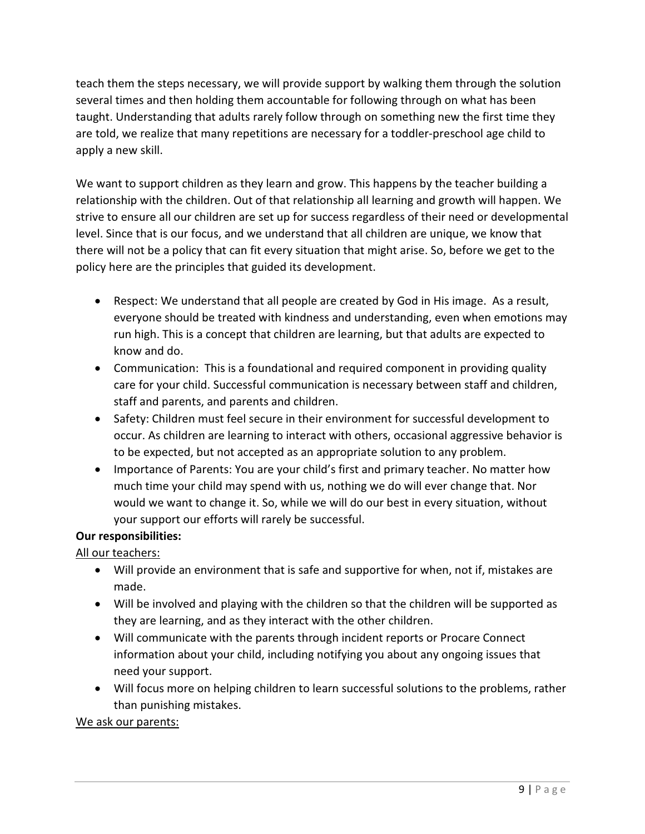teach them the steps necessary, we will provide support by walking them through the solution several times and then holding them accountable for following through on what has been taught. Understanding that adults rarely follow through on something new the first time they are told, we realize that many repetitions are necessary for a toddler-preschool age child to apply a new skill.

We want to support children as they learn and grow. This happens by the teacher building a relationship with the children. Out of that relationship all learning and growth will happen. We strive to ensure all our children are set up for success regardless of their need or developmental level. Since that is our focus, and we understand that all children are unique, we know that there will not be a policy that can fit every situation that might arise. So, before we get to the policy here are the principles that guided its development.

- Respect: We understand that all people are created by God in His image. As a result, everyone should be treated with kindness and understanding, even when emotions may run high. This is a concept that children are learning, but that adults are expected to know and do.
- Communication: This is a foundational and required component in providing quality care for your child. Successful communication is necessary between staff and children, staff and parents, and parents and children.
- Safety: Children must feel secure in their environment for successful development to occur. As children are learning to interact with others, occasional aggressive behavior is to be expected, but not accepted as an appropriate solution to any problem.
- Importance of Parents: You are your child's first and primary teacher. No matter how much time your child may spend with us, nothing we do will ever change that. Nor would we want to change it. So, while we will do our best in every situation, without your support our efforts will rarely be successful.

# Our responsibilities:

All our teachers:

- Will provide an environment that is safe and supportive for when, not if, mistakes are made.
- Will be involved and playing with the children so that the children will be supported as they are learning, and as they interact with the other children.
- Will communicate with the parents through incident reports or Procare Connect information about your child, including notifying you about any ongoing issues that need your support.
- Will focus more on helping children to learn successful solutions to the problems, rather than punishing mistakes.

We ask our parents: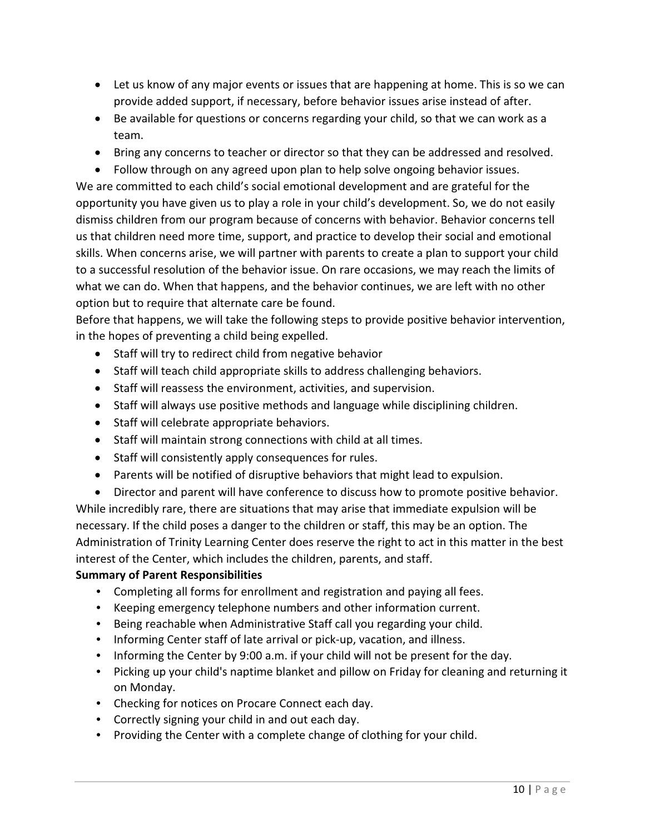- Let us know of any major events or issues that are happening at home. This is so we can provide added support, if necessary, before behavior issues arise instead of after.
- Be available for questions or concerns regarding your child, so that we can work as a team.
- Bring any concerns to teacher or director so that they can be addressed and resolved.
- Follow through on any agreed upon plan to help solve ongoing behavior issues.

We are committed to each child's social emotional development and are grateful for the opportunity you have given us to play a role in your child's development. So, we do not easily dismiss children from our program because of concerns with behavior. Behavior concerns tell us that children need more time, support, and practice to develop their social and emotional skills. When concerns arise, we will partner with parents to create a plan to support your child to a successful resolution of the behavior issue. On rare occasions, we may reach the limits of what we can do. When that happens, and the behavior continues, we are left with no other option but to require that alternate care be found.

Before that happens, we will take the following steps to provide positive behavior intervention, in the hopes of preventing a child being expelled.

- Staff will try to redirect child from negative behavior
- Staff will teach child appropriate skills to address challenging behaviors.
- Staff will reassess the environment, activities, and supervision.
- Staff will always use positive methods and language while disciplining children.
- Staff will celebrate appropriate behaviors.
- Staff will maintain strong connections with child at all times.
- Staff will consistently apply consequences for rules.
- Parents will be notified of disruptive behaviors that might lead to expulsion.
- Director and parent will have conference to discuss how to promote positive behavior. While incredibly rare, there are situations that may arise that immediate expulsion will be necessary. If the child poses a danger to the children or staff, this may be an option. The Administration of Trinity Learning Center does reserve the right to act in this matter in the best interest of the Center, which includes the children, parents, and staff.

# Summary of Parent Responsibilities

- Completing all forms for enrollment and registration and paying all fees.
- Keeping emergency telephone numbers and other information current.
- Being reachable when Administrative Staff call you regarding your child.
- Informing Center staff of late arrival or pick-up, vacation, and illness.
- Informing the Center by 9:00 a.m. if your child will not be present for the day.
- Picking up your child's naptime blanket and pillow on Friday for cleaning and returning it on Monday.
- Checking for notices on Procare Connect each day.
- Correctly signing your child in and out each day.
- Providing the Center with a complete change of clothing for your child.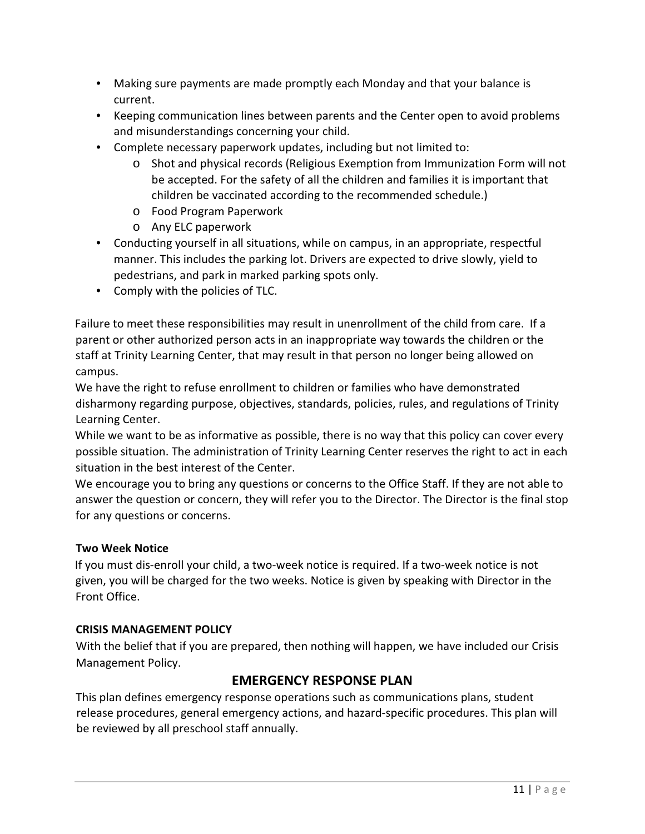- Making sure payments are made promptly each Monday and that your balance is current.
- Keeping communication lines between parents and the Center open to avoid problems and misunderstandings concerning your child.
- Complete necessary paperwork updates, including but not limited to:
	- o Shot and physical records (Religious Exemption from Immunization Form will not be accepted. For the safety of all the children and families it is important that children be vaccinated according to the recommended schedule.)
	- o Food Program Paperwork
	- o Any ELC paperwork
- Conducting yourself in all situations, while on campus, in an appropriate, respectful manner. This includes the parking lot. Drivers are expected to drive slowly, yield to pedestrians, and park in marked parking spots only.
- Comply with the policies of TLC.

Failure to meet these responsibilities may result in unenrollment of the child from care. If a parent or other authorized person acts in an inappropriate way towards the children or the staff at Trinity Learning Center, that may result in that person no longer being allowed on campus.

We have the right to refuse enrollment to children or families who have demonstrated disharmony regarding purpose, objectives, standards, policies, rules, and regulations of Trinity Learning Center.

While we want to be as informative as possible, there is no way that this policy can cover every possible situation. The administration of Trinity Learning Center reserves the right to act in each situation in the best interest of the Center.

We encourage you to bring any questions or concerns to the Office Staff. If they are not able to answer the question or concern, they will refer you to the Director. The Director is the final stop for any questions or concerns.

# Two Week Notice

If you must dis-enroll your child, a two-week notice is required. If a two-week notice is not given, you will be charged for the two weeks. Notice is given by speaking with Director in the Front Office.

#### CRISIS MANAGEMENT POLICY

With the belief that if you are prepared, then nothing will happen, we have included our Crisis Management Policy.

# EMERGENCY RESPONSE PLAN

This plan defines emergency response operations such as communications plans, student release procedures, general emergency actions, and hazard-specific procedures. This plan will be reviewed by all preschool staff annually.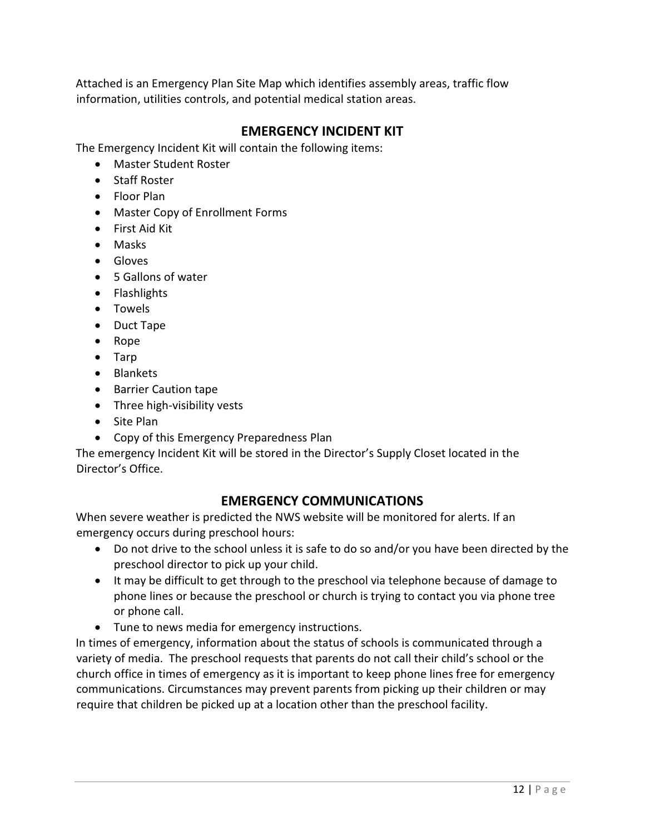Attached is an Emergency Plan Site Map which identifies assembly areas, traffic flow information, utilities controls, and potential medical station areas.

# EMERGENCY INCIDENT KIT

The Emergency Incident Kit will contain the following items:

- Master Student Roster
- Staff Roster
- Floor Plan
- Master Copy of Enrollment Forms
- First Aid Kit
- Masks
- Gloves
- 5 Gallons of water
- Flashlights
- Towels
- Duct Tape
- Rope
- Tarp
- Blankets
- Barrier Caution tape
- Three high-visibility vests
- Site Plan
- Copy of this Emergency Preparedness Plan

The emergency Incident Kit will be stored in the Director's Supply Closet located in the Director's Office.

# EMERGENCY COMMUNICATIONS

When severe weather is predicted the NWS website will be monitored for alerts. If an emergency occurs during preschool hours:

- Do not drive to the school unless it is safe to do so and/or you have been directed by the preschool director to pick up your child.
- It may be difficult to get through to the preschool via telephone because of damage to phone lines or because the preschool or church is trying to contact you via phone tree or phone call.
- Tune to news media for emergency instructions.

In times of emergency, information about the status of schools is communicated through a variety of media. The preschool requests that parents do not call their child's school or the church office in times of emergency as it is important to keep phone lines free for emergency communications. Circumstances may prevent parents from picking up their children or may require that children be picked up at a location other than the preschool facility.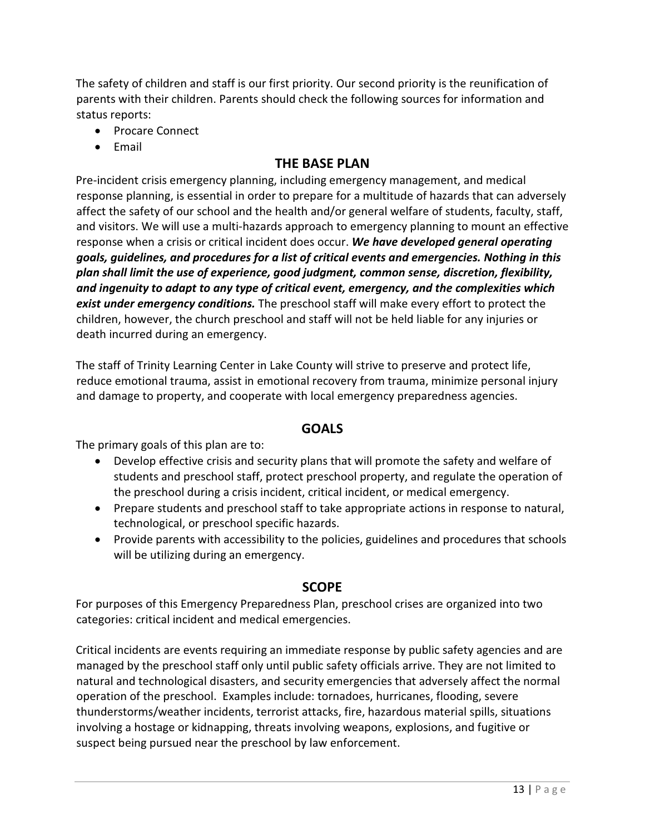The safety of children and staff is our first priority. Our second priority is the reunification of parents with their children. Parents should check the following sources for information and status reports:

- Procare Connect
- Email

# THE BASE PLAN

Pre-incident crisis emergency planning, including emergency management, and medical response planning, is essential in order to prepare for a multitude of hazards that can adversely affect the safety of our school and the health and/or general welfare of students, faculty, staff, and visitors. We will use a multi-hazards approach to emergency planning to mount an effective response when a crisis or critical incident does occur. We have developed general operating goals, guidelines, and procedures for a list of critical events and emergencies. Nothing in this plan shall limit the use of experience, good judgment, common sense, discretion, flexibility, and ingenuity to adapt to any type of critical event, emergency, and the complexities which **exist under emergency conditions.** The preschool staff will make every effort to protect the children, however, the church preschool and staff will not be held liable for any injuries or death incurred during an emergency.

The staff of Trinity Learning Center in Lake County will strive to preserve and protect life, reduce emotional trauma, assist in emotional recovery from trauma, minimize personal injury and damage to property, and cooperate with local emergency preparedness agencies.

# GOALS

The primary goals of this plan are to:

- Develop effective crisis and security plans that will promote the safety and welfare of students and preschool staff, protect preschool property, and regulate the operation of the preschool during a crisis incident, critical incident, or medical emergency.
- Prepare students and preschool staff to take appropriate actions in response to natural, technological, or preschool specific hazards.
- Provide parents with accessibility to the policies, guidelines and procedures that schools will be utilizing during an emergency.

# **SCOPE**

For purposes of this Emergency Preparedness Plan, preschool crises are organized into two categories: critical incident and medical emergencies.

Critical incidents are events requiring an immediate response by public safety agencies and are managed by the preschool staff only until public safety officials arrive. They are not limited to natural and technological disasters, and security emergencies that adversely affect the normal operation of the preschool. Examples include: tornadoes, hurricanes, flooding, severe thunderstorms/weather incidents, terrorist attacks, fire, hazardous material spills, situations involving a hostage or kidnapping, threats involving weapons, explosions, and fugitive or suspect being pursued near the preschool by law enforcement.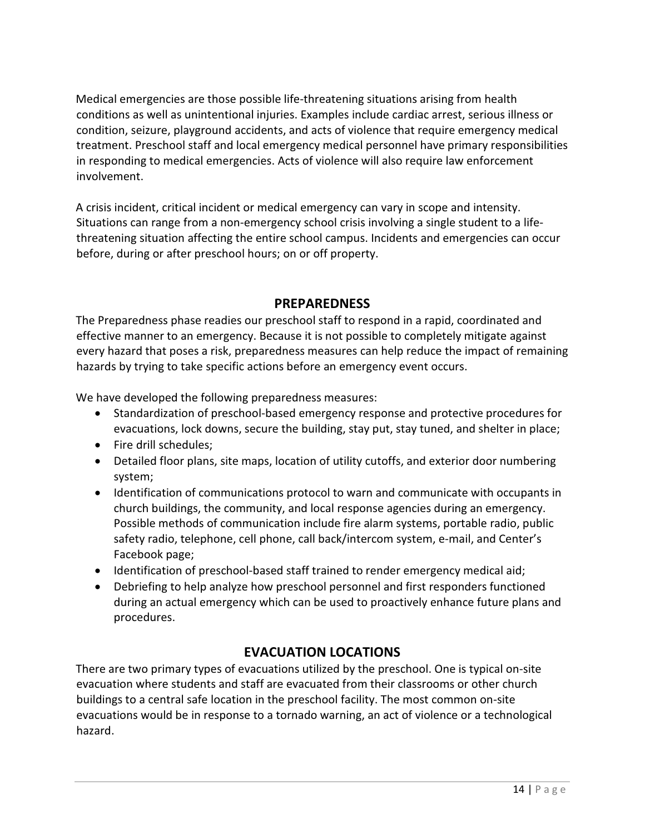Medical emergencies are those possible life-threatening situations arising from health conditions as well as unintentional injuries. Examples include cardiac arrest, serious illness or condition, seizure, playground accidents, and acts of violence that require emergency medical treatment. Preschool staff and local emergency medical personnel have primary responsibilities in responding to medical emergencies. Acts of violence will also require law enforcement involvement.

A crisis incident, critical incident or medical emergency can vary in scope and intensity. Situations can range from a non-emergency school crisis involving a single student to a lifethreatening situation affecting the entire school campus. Incidents and emergencies can occur before, during or after preschool hours; on or off property.

# **PREPAREDNESS**

The Preparedness phase readies our preschool staff to respond in a rapid, coordinated and effective manner to an emergency. Because it is not possible to completely mitigate against every hazard that poses a risk, preparedness measures can help reduce the impact of remaining hazards by trying to take specific actions before an emergency event occurs.

We have developed the following preparedness measures:

- Standardization of preschool-based emergency response and protective procedures for evacuations, lock downs, secure the building, stay put, stay tuned, and shelter in place;
- Fire drill schedules;
- Detailed floor plans, site maps, location of utility cutoffs, and exterior door numbering system;
- Identification of communications protocol to warn and communicate with occupants in church buildings, the community, and local response agencies during an emergency. Possible methods of communication include fire alarm systems, portable radio, public safety radio, telephone, cell phone, call back/intercom system, e-mail, and Center's Facebook page;
- Identification of preschool-based staff trained to render emergency medical aid;
- Debriefing to help analyze how preschool personnel and first responders functioned during an actual emergency which can be used to proactively enhance future plans and procedures.

# EVACUATION LOCATIONS

There are two primary types of evacuations utilized by the preschool. One is typical on-site evacuation where students and staff are evacuated from their classrooms or other church buildings to a central safe location in the preschool facility. The most common on-site evacuations would be in response to a tornado warning, an act of violence or a technological hazard.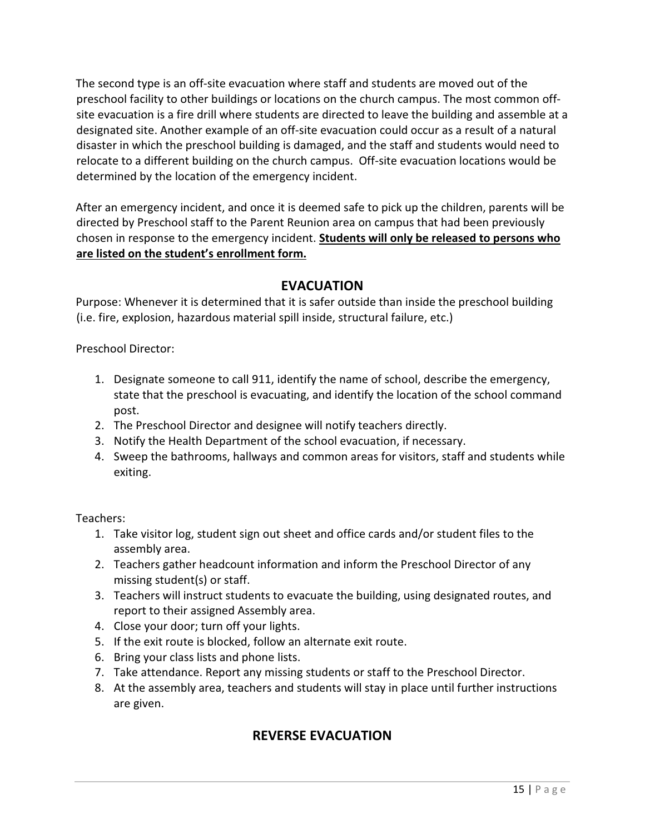The second type is an off-site evacuation where staff and students are moved out of the preschool facility to other buildings or locations on the church campus. The most common offsite evacuation is a fire drill where students are directed to leave the building and assemble at a designated site. Another example of an off-site evacuation could occur as a result of a natural disaster in which the preschool building is damaged, and the staff and students would need to relocate to a different building on the church campus. Off-site evacuation locations would be determined by the location of the emergency incident.

After an emergency incident, and once it is deemed safe to pick up the children, parents will be directed by Preschool staff to the Parent Reunion area on campus that had been previously chosen in response to the emergency incident. Students will only be released to persons who are listed on the student's enrollment form.

# EVACUATION

Purpose: Whenever it is determined that it is safer outside than inside the preschool building (i.e. fire, explosion, hazardous material spill inside, structural failure, etc.)

Preschool Director:

- 1. Designate someone to call 911, identify the name of school, describe the emergency, state that the preschool is evacuating, and identify the location of the school command post.
- 2. The Preschool Director and designee will notify teachers directly.
- 3. Notify the Health Department of the school evacuation, if necessary.
- 4. Sweep the bathrooms, hallways and common areas for visitors, staff and students while exiting.

Teachers:

- 1. Take visitor log, student sign out sheet and office cards and/or student files to the assembly area.
- 2. Teachers gather headcount information and inform the Preschool Director of any missing student(s) or staff.
- 3. Teachers will instruct students to evacuate the building, using designated routes, and report to their assigned Assembly area.
- 4. Close your door; turn off your lights.
- 5. If the exit route is blocked, follow an alternate exit route.
- 6. Bring your class lists and phone lists.
- 7. Take attendance. Report any missing students or staff to the Preschool Director.
- 8. At the assembly area, teachers and students will stay in place until further instructions are given.

# REVERSE EVACUATION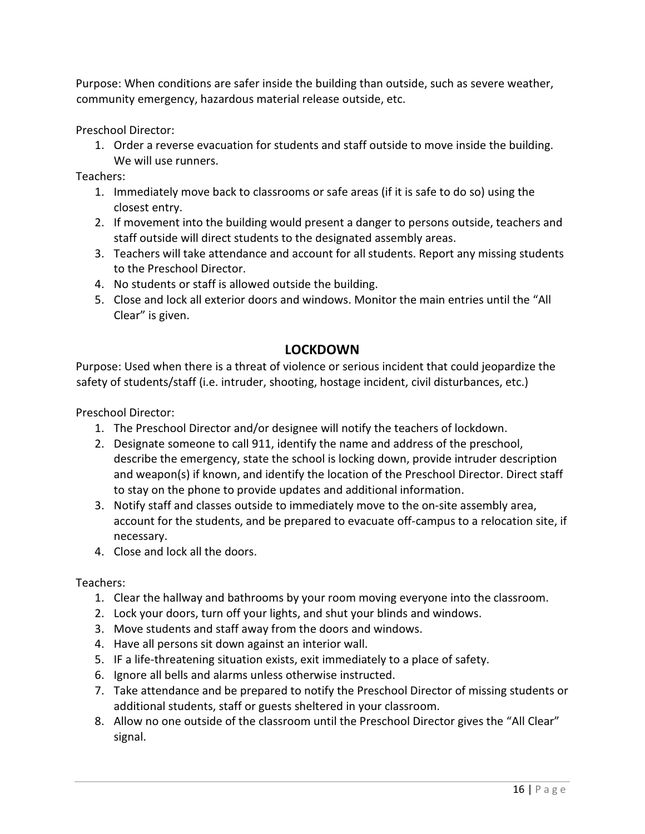Purpose: When conditions are safer inside the building than outside, such as severe weather, community emergency, hazardous material release outside, etc.

Preschool Director:

1. Order a reverse evacuation for students and staff outside to move inside the building. We will use runners.

Teachers:

- 1. Immediately move back to classrooms or safe areas (if it is safe to do so) using the closest entry.
- 2. If movement into the building would present a danger to persons outside, teachers and staff outside will direct students to the designated assembly areas.
- 3. Teachers will take attendance and account for all students. Report any missing students to the Preschool Director.
- 4. No students or staff is allowed outside the building.
- 5. Close and lock all exterior doors and windows. Monitor the main entries until the "All Clear" is given.

# LOCKDOWN

Purpose: Used when there is a threat of violence or serious incident that could jeopardize the safety of students/staff (i.e. intruder, shooting, hostage incident, civil disturbances, etc.)

Preschool Director:

- 1. The Preschool Director and/or designee will notify the teachers of lockdown.
- 2. Designate someone to call 911, identify the name and address of the preschool, describe the emergency, state the school is locking down, provide intruder description and weapon(s) if known, and identify the location of the Preschool Director. Direct staff to stay on the phone to provide updates and additional information.
- 3. Notify staff and classes outside to immediately move to the on-site assembly area, account for the students, and be prepared to evacuate off-campus to a relocation site, if necessary.
- 4. Close and lock all the doors.

Teachers:

- 1. Clear the hallway and bathrooms by your room moving everyone into the classroom.
- 2. Lock your doors, turn off your lights, and shut your blinds and windows.
- 3. Move students and staff away from the doors and windows.
- 4. Have all persons sit down against an interior wall.
- 5. IF a life-threatening situation exists, exit immediately to a place of safety.
- 6. Ignore all bells and alarms unless otherwise instructed.
- 7. Take attendance and be prepared to notify the Preschool Director of missing students or additional students, staff or guests sheltered in your classroom.
- 8. Allow no one outside of the classroom until the Preschool Director gives the "All Clear" signal.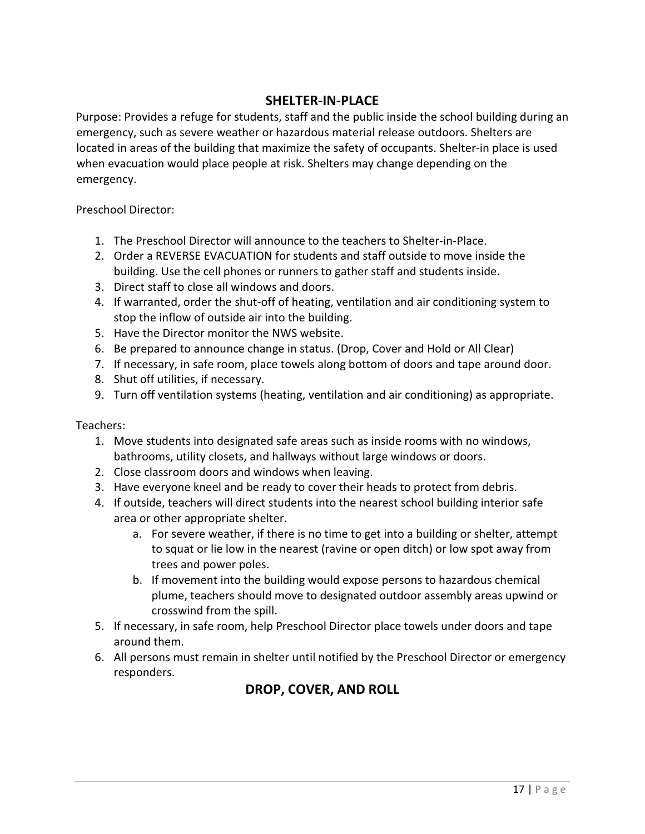# SHELTER-IN-PLACE

Purpose: Provides a refuge for students, staff and the public inside the school building during an emergency, such as severe weather or hazardous material release outdoors. Shelters are located in areas of the building that maximize the safety of occupants. Shelter-in place is used when evacuation would place people at risk. Shelters may change depending on the emergency.

Preschool Director:

- 1. The Preschool Director will announce to the teachers to Shelter-in-Place.
- 2. Order a REVERSE EVACUATION for students and staff outside to move inside the building. Use the cell phones or runners to gather staff and students inside.
- 3. Direct staff to close all windows and doors.
- 4. If warranted, order the shut-off of heating, ventilation and air conditioning system to stop the inflow of outside air into the building.
- 5. Have the Director monitor the NWS website.
- 6. Be prepared to announce change in status. (Drop, Cover and Hold or All Clear)
- 7. If necessary, in safe room, place towels along bottom of doors and tape around door.
- 8. Shut off utilities, if necessary.
- 9. Turn off ventilation systems (heating, ventilation and air conditioning) as appropriate.

Teachers:

- 1. Move students into designated safe areas such as inside rooms with no windows, bathrooms, utility closets, and hallways without large windows or doors.
- 2. Close classroom doors and windows when leaving.
- 3. Have everyone kneel and be ready to cover their heads to protect from debris.
- 4. If outside, teachers will direct students into the nearest school building interior safe area or other appropriate shelter.
	- a. For severe weather, if there is no time to get into a building or shelter, attempt to squat or lie low in the nearest (ravine or open ditch) or low spot away from trees and power poles.
	- b. If movement into the building would expose persons to hazardous chemical plume, teachers should move to designated outdoor assembly areas upwind or crosswind from the spill.
- 5. If necessary, in safe room, help Preschool Director place towels under doors and tape around them.
- 6. All persons must remain in shelter until notified by the Preschool Director or emergency responders.

# DROP, COVER, AND ROLL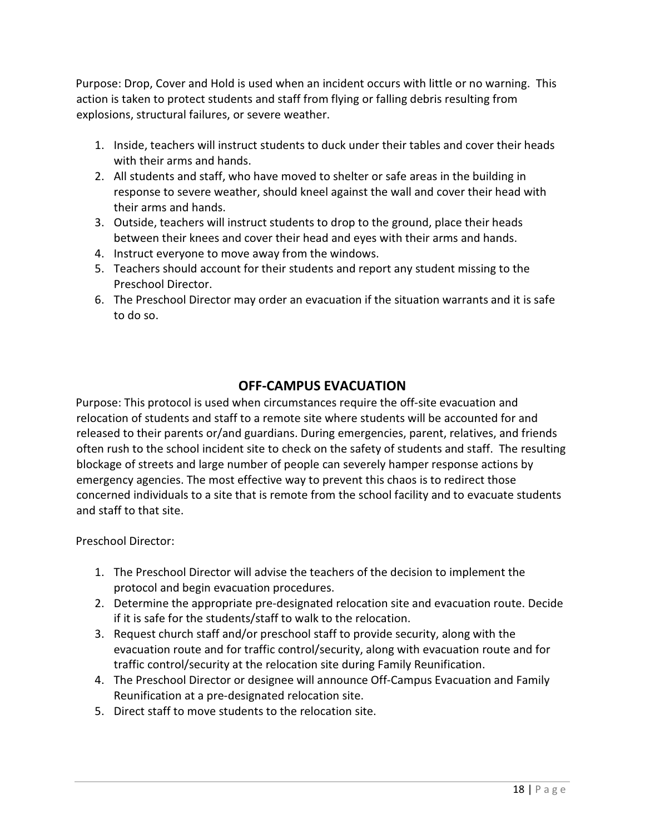Purpose: Drop, Cover and Hold is used when an incident occurs with little or no warning. This action is taken to protect students and staff from flying or falling debris resulting from explosions, structural failures, or severe weather.

- 1. Inside, teachers will instruct students to duck under their tables and cover their heads with their arms and hands.
- 2. All students and staff, who have moved to shelter or safe areas in the building in response to severe weather, should kneel against the wall and cover their head with their arms and hands.
- 3. Outside, teachers will instruct students to drop to the ground, place their heads between their knees and cover their head and eyes with their arms and hands.
- 4. Instruct everyone to move away from the windows.
- 5. Teachers should account for their students and report any student missing to the Preschool Director.
- 6. The Preschool Director may order an evacuation if the situation warrants and it is safe to do so.

# OFF-CAMPUS EVACUATION

Purpose: This protocol is used when circumstances require the off-site evacuation and relocation of students and staff to a remote site where students will be accounted for and released to their parents or/and guardians. During emergencies, parent, relatives, and friends often rush to the school incident site to check on the safety of students and staff. The resulting blockage of streets and large number of people can severely hamper response actions by emergency agencies. The most effective way to prevent this chaos is to redirect those concerned individuals to a site that is remote from the school facility and to evacuate students and staff to that site.

Preschool Director:

- 1. The Preschool Director will advise the teachers of the decision to implement the protocol and begin evacuation procedures.
- 2. Determine the appropriate pre-designated relocation site and evacuation route. Decide if it is safe for the students/staff to walk to the relocation.
- 3. Request church staff and/or preschool staff to provide security, along with the evacuation route and for traffic control/security, along with evacuation route and for traffic control/security at the relocation site during Family Reunification.
- 4. The Preschool Director or designee will announce Off-Campus Evacuation and Family Reunification at a pre-designated relocation site.
- 5. Direct staff to move students to the relocation site.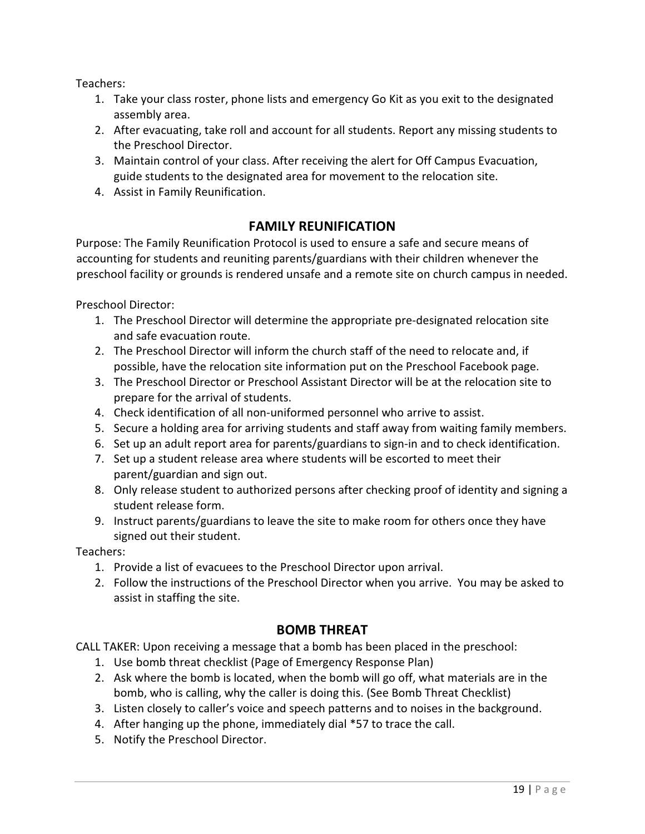Teachers:

- 1. Take your class roster, phone lists and emergency Go Kit as you exit to the designated assembly area.
- 2. After evacuating, take roll and account for all students. Report any missing students to the Preschool Director.
- 3. Maintain control of your class. After receiving the alert for Off Campus Evacuation, guide students to the designated area for movement to the relocation site.
- 4. Assist in Family Reunification.

# FAMILY REUNIFICATION

Purpose: The Family Reunification Protocol is used to ensure a safe and secure means of accounting for students and reuniting parents/guardians with their children whenever the preschool facility or grounds is rendered unsafe and a remote site on church campus in needed.

Preschool Director:

- 1. The Preschool Director will determine the appropriate pre-designated relocation site and safe evacuation route.
- 2. The Preschool Director will inform the church staff of the need to relocate and, if possible, have the relocation site information put on the Preschool Facebook page.
- 3. The Preschool Director or Preschool Assistant Director will be at the relocation site to prepare for the arrival of students.
- 4. Check identification of all non-uniformed personnel who arrive to assist.
- 5. Secure a holding area for arriving students and staff away from waiting family members.
- 6. Set up an adult report area for parents/guardians to sign-in and to check identification.
- 7. Set up a student release area where students will be escorted to meet their parent/guardian and sign out.
- 8. Only release student to authorized persons after checking proof of identity and signing a student release form.
- 9. Instruct parents/guardians to leave the site to make room for others once they have signed out their student.

Teachers:

- 1. Provide a list of evacuees to the Preschool Director upon arrival.
- 2. Follow the instructions of the Preschool Director when you arrive. You may be asked to assist in staffing the site.

# BOMB THREAT

CALL TAKER: Upon receiving a message that a bomb has been placed in the preschool:

- 1. Use bomb threat checklist (Page of Emergency Response Plan)
- 2. Ask where the bomb is located, when the bomb will go off, what materials are in the bomb, who is calling, why the caller is doing this. (See Bomb Threat Checklist)
- 3. Listen closely to caller's voice and speech patterns and to noises in the background.
- 4. After hanging up the phone, immediately dial \*57 to trace the call.
- 5. Notify the Preschool Director.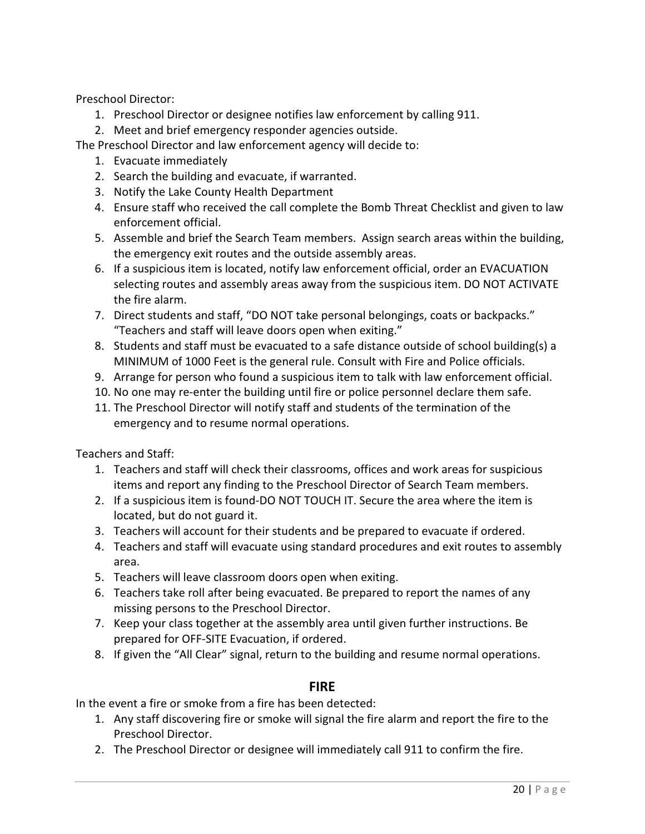Preschool Director:

- 1. Preschool Director or designee notifies law enforcement by calling 911.
- 2. Meet and brief emergency responder agencies outside.

The Preschool Director and law enforcement agency will decide to:

- 1. Evacuate immediately
- 2. Search the building and evacuate, if warranted.
- 3. Notify the Lake County Health Department
- 4. Ensure staff who received the call complete the Bomb Threat Checklist and given to law enforcement official.
- 5. Assemble and brief the Search Team members. Assign search areas within the building, the emergency exit routes and the outside assembly areas.
- 6. If a suspicious item is located, notify law enforcement official, order an EVACUATION selecting routes and assembly areas away from the suspicious item. DO NOT ACTIVATE the fire alarm.
- 7. Direct students and staff, "DO NOT take personal belongings, coats or backpacks." "Teachers and staff will leave doors open when exiting."
- 8. Students and staff must be evacuated to a safe distance outside of school building(s) a MINIMUM of 1000 Feet is the general rule. Consult with Fire and Police officials.
- 9. Arrange for person who found a suspicious item to talk with law enforcement official.
- 10. No one may re-enter the building until fire or police personnel declare them safe.
- 11. The Preschool Director will notify staff and students of the termination of the emergency and to resume normal operations.

Teachers and Staff:

- 1. Teachers and staff will check their classrooms, offices and work areas for suspicious items and report any finding to the Preschool Director of Search Team members.
- 2. If a suspicious item is found-DO NOT TOUCH IT. Secure the area where the item is located, but do not guard it.
- 3. Teachers will account for their students and be prepared to evacuate if ordered.
- 4. Teachers and staff will evacuate using standard procedures and exit routes to assembly area.
- 5. Teachers will leave classroom doors open when exiting.
- 6. Teachers take roll after being evacuated. Be prepared to report the names of any missing persons to the Preschool Director.
- 7. Keep your class together at the assembly area until given further instructions. Be prepared for OFF-SITE Evacuation, if ordered.
- 8. If given the "All Clear" signal, return to the building and resume normal operations.

# FIRE

In the event a fire or smoke from a fire has been detected:

- 1. Any staff discovering fire or smoke will signal the fire alarm and report the fire to the Preschool Director.
- 2. The Preschool Director or designee will immediately call 911 to confirm the fire.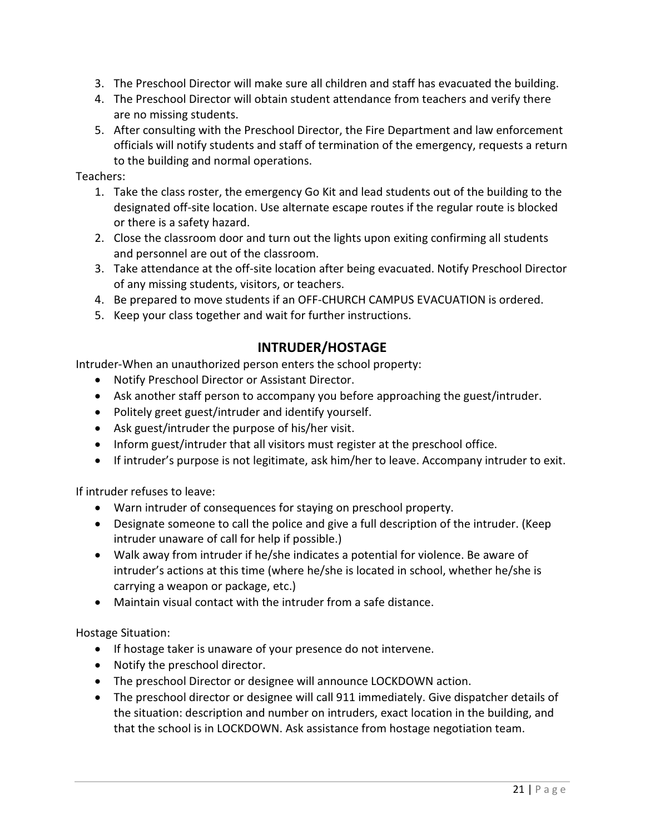- 3. The Preschool Director will make sure all children and staff has evacuated the building.
- 4. The Preschool Director will obtain student attendance from teachers and verify there are no missing students.
- 5. After consulting with the Preschool Director, the Fire Department and law enforcement officials will notify students and staff of termination of the emergency, requests a return to the building and normal operations.

Teachers:

- 1. Take the class roster, the emergency Go Kit and lead students out of the building to the designated off-site location. Use alternate escape routes if the regular route is blocked or there is a safety hazard.
- 2. Close the classroom door and turn out the lights upon exiting confirming all students and personnel are out of the classroom.
- 3. Take attendance at the off-site location after being evacuated. Notify Preschool Director of any missing students, visitors, or teachers.
- 4. Be prepared to move students if an OFF-CHURCH CAMPUS EVACUATION is ordered.
- 5. Keep your class together and wait for further instructions.

# INTRUDER/HOSTAGE

Intruder-When an unauthorized person enters the school property:

- Notify Preschool Director or Assistant Director.
- Ask another staff person to accompany you before approaching the guest/intruder.
- Politely greet guest/intruder and identify yourself.
- Ask guest/intruder the purpose of his/her visit.
- Inform guest/intruder that all visitors must register at the preschool office.
- If intruder's purpose is not legitimate, ask him/her to leave. Accompany intruder to exit.

If intruder refuses to leave:

- Warn intruder of consequences for staying on preschool property.
- Designate someone to call the police and give a full description of the intruder. (Keep intruder unaware of call for help if possible.)
- Walk away from intruder if he/she indicates a potential for violence. Be aware of intruder's actions at this time (where he/she is located in school, whether he/she is carrying a weapon or package, etc.)
- Maintain visual contact with the intruder from a safe distance.

Hostage Situation:

- If hostage taker is unaware of your presence do not intervene.
- Notify the preschool director.
- The preschool Director or designee will announce LOCKDOWN action.
- The preschool director or designee will call 911 immediately. Give dispatcher details of the situation: description and number on intruders, exact location in the building, and that the school is in LOCKDOWN. Ask assistance from hostage negotiation team.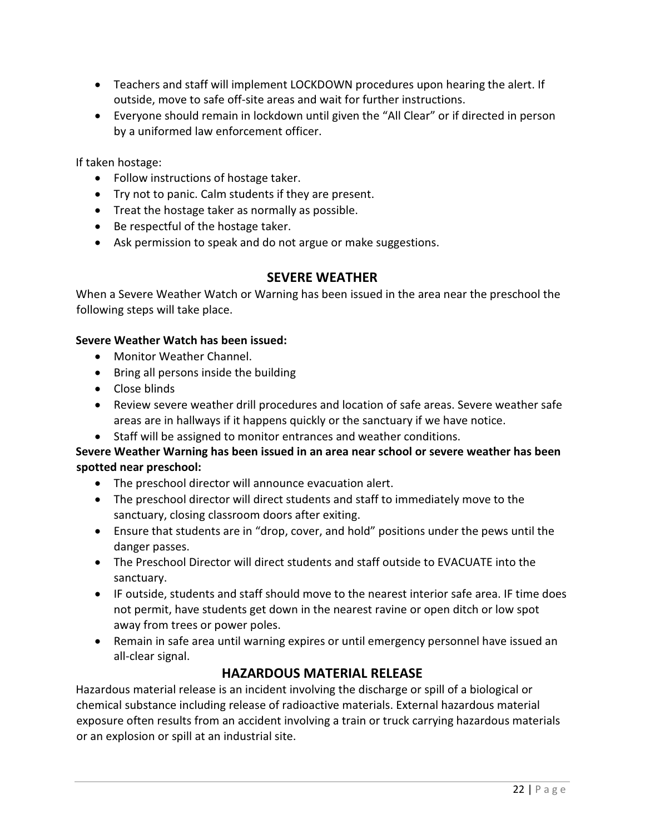- Teachers and staff will implement LOCKDOWN procedures upon hearing the alert. If outside, move to safe off-site areas and wait for further instructions.
- Everyone should remain in lockdown until given the "All Clear" or if directed in person by a uniformed law enforcement officer.

If taken hostage:

- Follow instructions of hostage taker.
- Try not to panic. Calm students if they are present.
- Treat the hostage taker as normally as possible.
- Be respectful of the hostage taker.
- Ask permission to speak and do not argue or make suggestions.

# SEVERE WEATHER

When a Severe Weather Watch or Warning has been issued in the area near the preschool the following steps will take place.

#### Severe Weather Watch has been issued:

- Monitor Weather Channel.
- Bring all persons inside the building
- Close blinds
- Review severe weather drill procedures and location of safe areas. Severe weather safe areas are in hallways if it happens quickly or the sanctuary if we have notice.
- Staff will be assigned to monitor entrances and weather conditions.

# Severe Weather Warning has been issued in an area near school or severe weather has been spotted near preschool:

- The preschool director will announce evacuation alert.
- The preschool director will direct students and staff to immediately move to the sanctuary, closing classroom doors after exiting.
- Ensure that students are in "drop, cover, and hold" positions under the pews until the danger passes.
- The Preschool Director will direct students and staff outside to EVACUATE into the sanctuary.
- IF outside, students and staff should move to the nearest interior safe area. IF time does not permit, have students get down in the nearest ravine or open ditch or low spot away from trees or power poles.
- Remain in safe area until warning expires or until emergency personnel have issued an all-clear signal.

# HAZARDOUS MATERIAL RELEASE

Hazardous material release is an incident involving the discharge or spill of a biological or chemical substance including release of radioactive materials. External hazardous material exposure often results from an accident involving a train or truck carrying hazardous materials or an explosion or spill at an industrial site.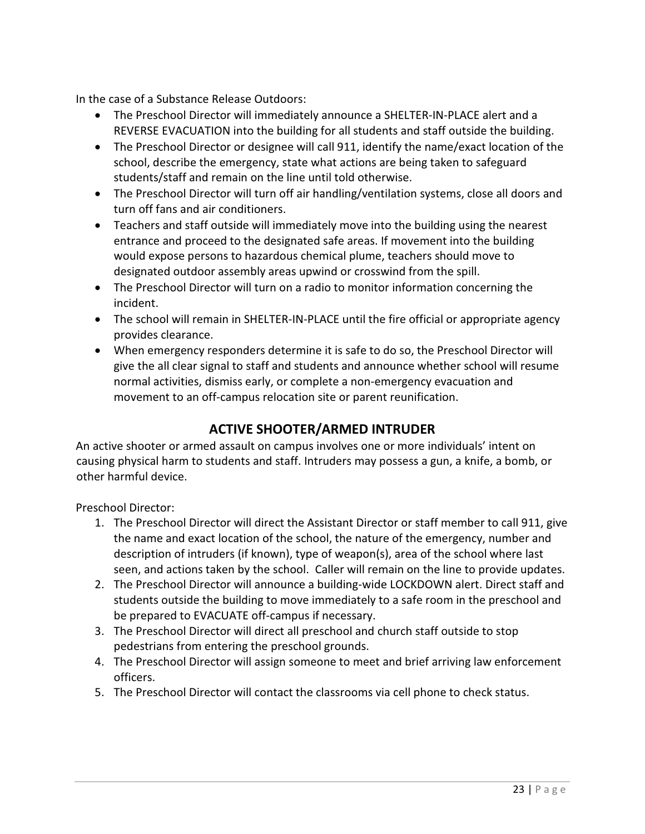In the case of a Substance Release Outdoors:

- The Preschool Director will immediately announce a SHELTER-IN-PLACE alert and a REVERSE EVACUATION into the building for all students and staff outside the building.
- The Preschool Director or designee will call 911, identify the name/exact location of the school, describe the emergency, state what actions are being taken to safeguard students/staff and remain on the line until told otherwise.
- The Preschool Director will turn off air handling/ventilation systems, close all doors and turn off fans and air conditioners.
- Teachers and staff outside will immediately move into the building using the nearest entrance and proceed to the designated safe areas. If movement into the building would expose persons to hazardous chemical plume, teachers should move to designated outdoor assembly areas upwind or crosswind from the spill.
- The Preschool Director will turn on a radio to monitor information concerning the incident.
- The school will remain in SHELTER-IN-PLACE until the fire official or appropriate agency provides clearance.
- When emergency responders determine it is safe to do so, the Preschool Director will give the all clear signal to staff and students and announce whether school will resume normal activities, dismiss early, or complete a non-emergency evacuation and movement to an off-campus relocation site or parent reunification.

# ACTIVE SHOOTER/ARMED INTRUDER

An active shooter or armed assault on campus involves one or more individuals' intent on causing physical harm to students and staff. Intruders may possess a gun, a knife, a bomb, or other harmful device.

Preschool Director:

- 1. The Preschool Director will direct the Assistant Director or staff member to call 911, give the name and exact location of the school, the nature of the emergency, number and description of intruders (if known), type of weapon(s), area of the school where last seen, and actions taken by the school. Caller will remain on the line to provide updates.
- 2. The Preschool Director will announce a building-wide LOCKDOWN alert. Direct staff and students outside the building to move immediately to a safe room in the preschool and be prepared to EVACUATE off-campus if necessary.
- 3. The Preschool Director will direct all preschool and church staff outside to stop pedestrians from entering the preschool grounds.
- 4. The Preschool Director will assign someone to meet and brief arriving law enforcement officers.
- 5. The Preschool Director will contact the classrooms via cell phone to check status.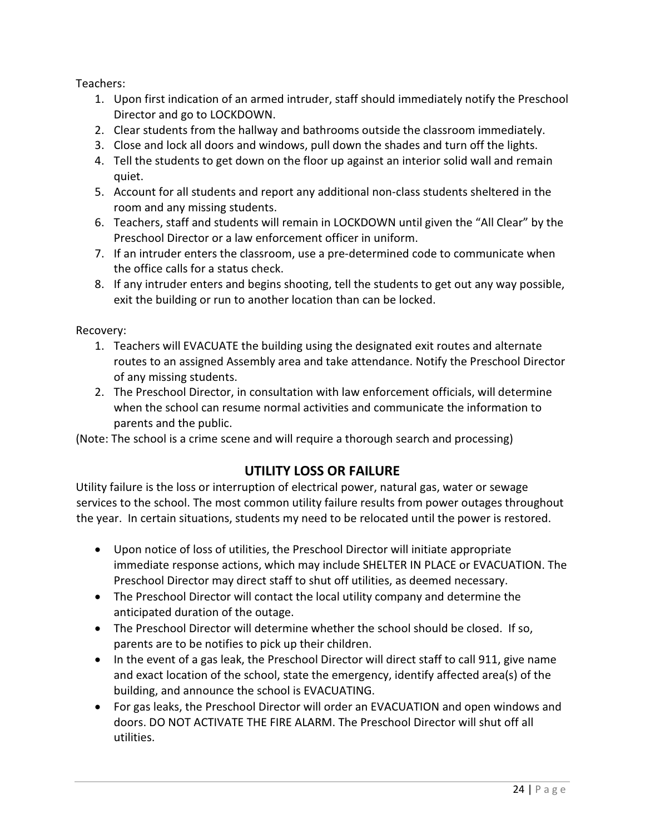Teachers:

- 1. Upon first indication of an armed intruder, staff should immediately notify the Preschool Director and go to LOCKDOWN.
- 2. Clear students from the hallway and bathrooms outside the classroom immediately.
- 3. Close and lock all doors and windows, pull down the shades and turn off the lights.
- 4. Tell the students to get down on the floor up against an interior solid wall and remain quiet.
- 5. Account for all students and report any additional non-class students sheltered in the room and any missing students.
- 6. Teachers, staff and students will remain in LOCKDOWN until given the "All Clear" by the Preschool Director or a law enforcement officer in uniform.
- 7. If an intruder enters the classroom, use a pre-determined code to communicate when the office calls for a status check.
- 8. If any intruder enters and begins shooting, tell the students to get out any way possible, exit the building or run to another location than can be locked.

Recovery:

- 1. Teachers will EVACUATE the building using the designated exit routes and alternate routes to an assigned Assembly area and take attendance. Notify the Preschool Director of any missing students.
- 2. The Preschool Director, in consultation with law enforcement officials, will determine when the school can resume normal activities and communicate the information to parents and the public.

(Note: The school is a crime scene and will require a thorough search and processing)

# UTILITY LOSS OR FAILURE

Utility failure is the loss or interruption of electrical power, natural gas, water or sewage services to the school. The most common utility failure results from power outages throughout the year. In certain situations, students my need to be relocated until the power is restored.

- Upon notice of loss of utilities, the Preschool Director will initiate appropriate immediate response actions, which may include SHELTER IN PLACE or EVACUATION. The Preschool Director may direct staff to shut off utilities, as deemed necessary.
- The Preschool Director will contact the local utility company and determine the anticipated duration of the outage.
- The Preschool Director will determine whether the school should be closed. If so, parents are to be notifies to pick up their children.
- In the event of a gas leak, the Preschool Director will direct staff to call 911, give name and exact location of the school, state the emergency, identify affected area(s) of the building, and announce the school is EVACUATING.
- For gas leaks, the Preschool Director will order an EVACUATION and open windows and doors. DO NOT ACTIVATE THE FIRE ALARM. The Preschool Director will shut off all utilities.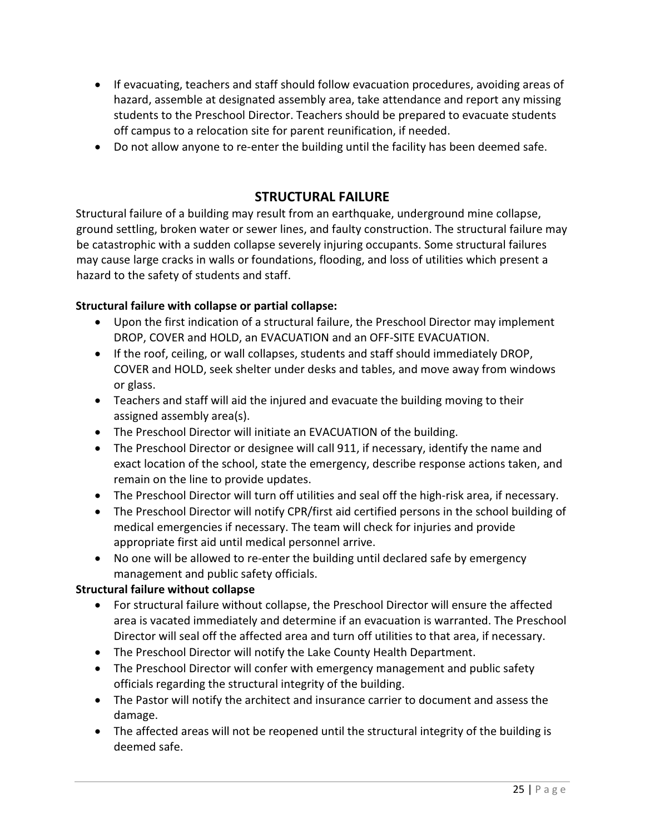- If evacuating, teachers and staff should follow evacuation procedures, avoiding areas of hazard, assemble at designated assembly area, take attendance and report any missing students to the Preschool Director. Teachers should be prepared to evacuate students off campus to a relocation site for parent reunification, if needed.
- Do not allow anyone to re-enter the building until the facility has been deemed safe.

# STRUCTURAL FAILURE

Structural failure of a building may result from an earthquake, underground mine collapse, ground settling, broken water or sewer lines, and faulty construction. The structural failure may be catastrophic with a sudden collapse severely injuring occupants. Some structural failures may cause large cracks in walls or foundations, flooding, and loss of utilities which present a hazard to the safety of students and staff.

# Structural failure with collapse or partial collapse:

- Upon the first indication of a structural failure, the Preschool Director may implement DROP, COVER and HOLD, an EVACUATION and an OFF-SITE EVACUATION.
- If the roof, ceiling, or wall collapses, students and staff should immediately DROP, COVER and HOLD, seek shelter under desks and tables, and move away from windows or glass.
- Teachers and staff will aid the injured and evacuate the building moving to their assigned assembly area(s).
- The Preschool Director will initiate an EVACUATION of the building.
- The Preschool Director or designee will call 911, if necessary, identify the name and exact location of the school, state the emergency, describe response actions taken, and remain on the line to provide updates.
- The Preschool Director will turn off utilities and seal off the high-risk area, if necessary.
- The Preschool Director will notify CPR/first aid certified persons in the school building of medical emergencies if necessary. The team will check for injuries and provide appropriate first aid until medical personnel arrive.
- No one will be allowed to re-enter the building until declared safe by emergency management and public safety officials.

# Structural failure without collapse

- For structural failure without collapse, the Preschool Director will ensure the affected area is vacated immediately and determine if an evacuation is warranted. The Preschool Director will seal off the affected area and turn off utilities to that area, if necessary.
- The Preschool Director will notify the Lake County Health Department.
- The Preschool Director will confer with emergency management and public safety officials regarding the structural integrity of the building.
- The Pastor will notify the architect and insurance carrier to document and assess the damage.
- The affected areas will not be reopened until the structural integrity of the building is deemed safe.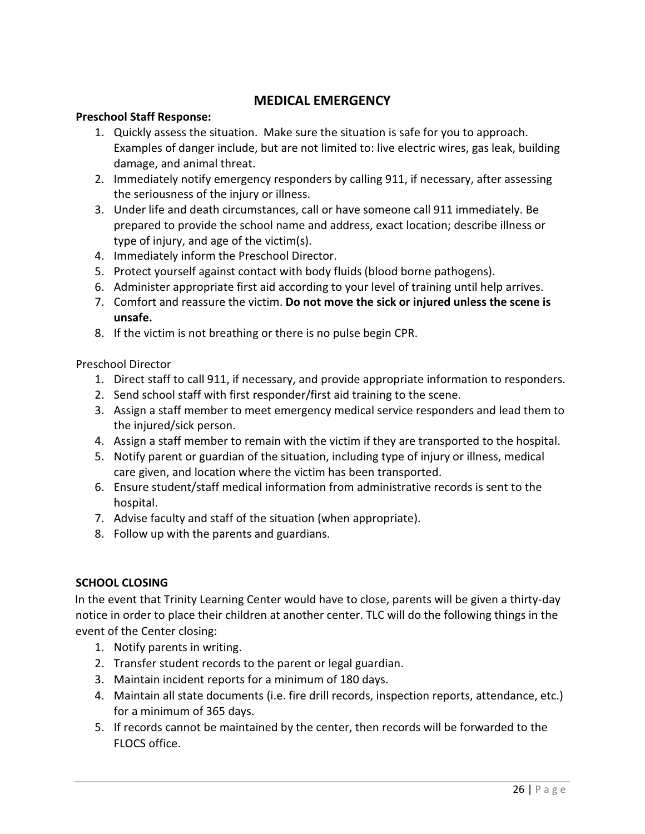# MEDICAL EMERGENCY

#### Preschool Staff Response:

- 1. Quickly assess the situation. Make sure the situation is safe for you to approach. Examples of danger include, but are not limited to: live electric wires, gas leak, building damage, and animal threat.
- 2. Immediately notify emergency responders by calling 911, if necessary, after assessing the seriousness of the injury or illness.
- 3. Under life and death circumstances, call or have someone call 911 immediately. Be prepared to provide the school name and address, exact location; describe illness or type of injury, and age of the victim(s).
- 4. Immediately inform the Preschool Director.
- 5. Protect yourself against contact with body fluids (blood borne pathogens).
- 6. Administer appropriate first aid according to your level of training until help arrives.
- 7. Comfort and reassure the victim. Do not move the sick or injured unless the scene is unsafe.
- 8. If the victim is not breathing or there is no pulse begin CPR.

Preschool Director

- 1. Direct staff to call 911, if necessary, and provide appropriate information to responders.
- 2. Send school staff with first responder/first aid training to the scene.
- 3. Assign a staff member to meet emergency medical service responders and lead them to the injured/sick person.
- 4. Assign a staff member to remain with the victim if they are transported to the hospital.
- 5. Notify parent or guardian of the situation, including type of injury or illness, medical care given, and location where the victim has been transported.
- 6. Ensure student/staff medical information from administrative records is sent to the hospital.
- 7. Advise faculty and staff of the situation (when appropriate).
- 8. Follow up with the parents and guardians.

# SCHOOL CLOSING

In the event that Trinity Learning Center would have to close, parents will be given a thirty-day notice in order to place their children at another center. TLC will do the following things in the event of the Center closing:

- 1. Notify parents in writing.
- 2. Transfer student records to the parent or legal guardian.
- 3. Maintain incident reports for a minimum of 180 days.
- 4. Maintain all state documents (i.e. fire drill records, inspection reports, attendance, etc.) for a minimum of 365 days.
- 5. If records cannot be maintained by the center, then records will be forwarded to the FLOCS office.